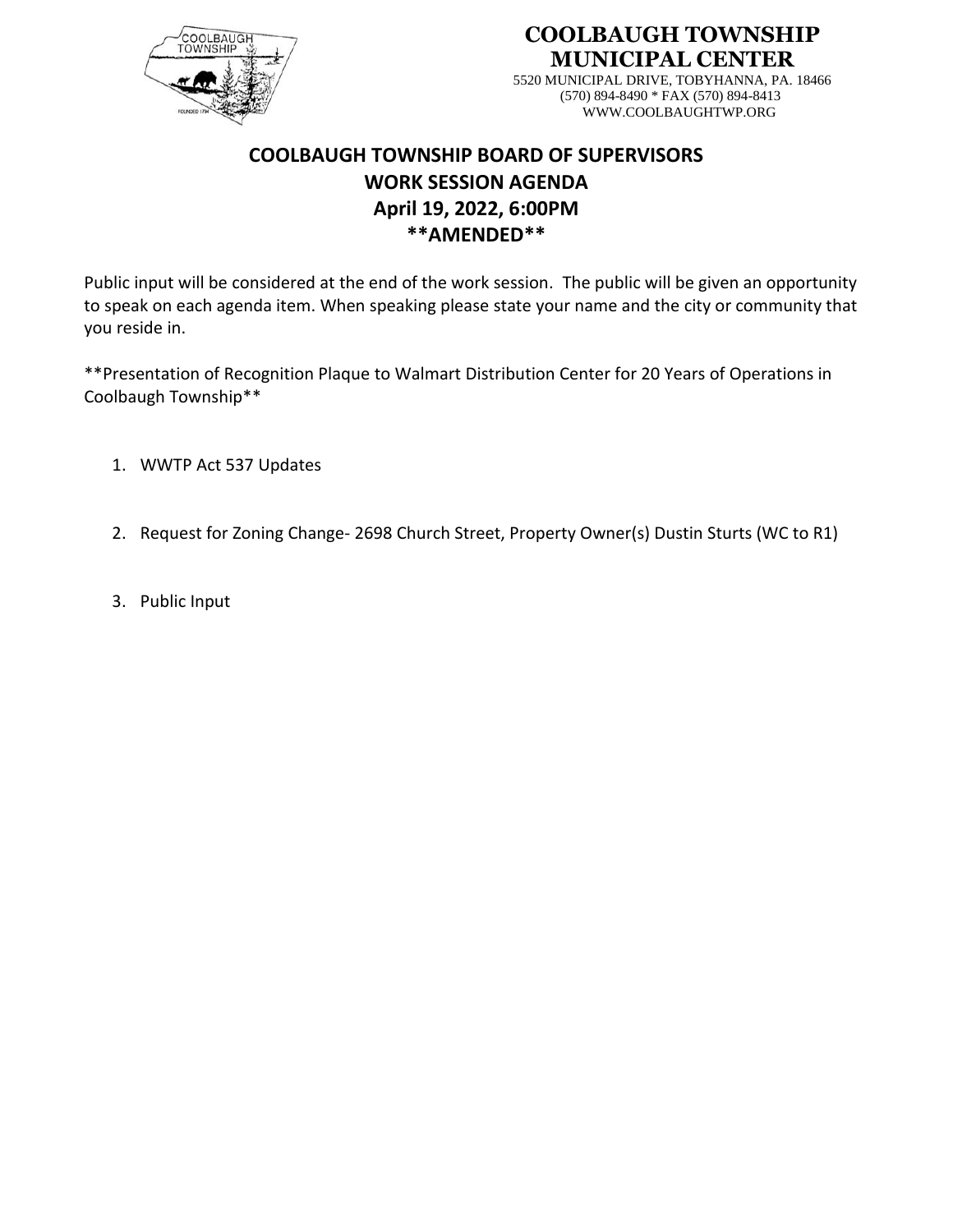

**COOLBAUGH TOWNSHIP MUNICIPAL CENTER**

> 5520 MUNICIPAL DRIVE, TOBYHANNA, PA. 18466 (570) 894-8490 \* FAX (570) 894-8413 WWW.COOLBAUGHTWP.ORG

## **COOLBAUGH TOWNSHIP BOARD OF SUPERVISORS WORK SESSION AGENDA April 19, 2022, 6:00PM \*\*AMENDED\*\***

Public input will be considered at the end of the work session. The public will be given an opportunity to speak on each agenda item. When speaking please state your name and the city or community that you reside in.

\*\*Presentation of Recognition Plaque to Walmart Distribution Center for 20 Years of Operations in Coolbaugh Township\*\*

- 1. WWTP Act 537 Updates
- 2. Request for Zoning Change- 2698 Church Street, Property Owner(s) Dustin Sturts (WC to R1)
- 3. Public Input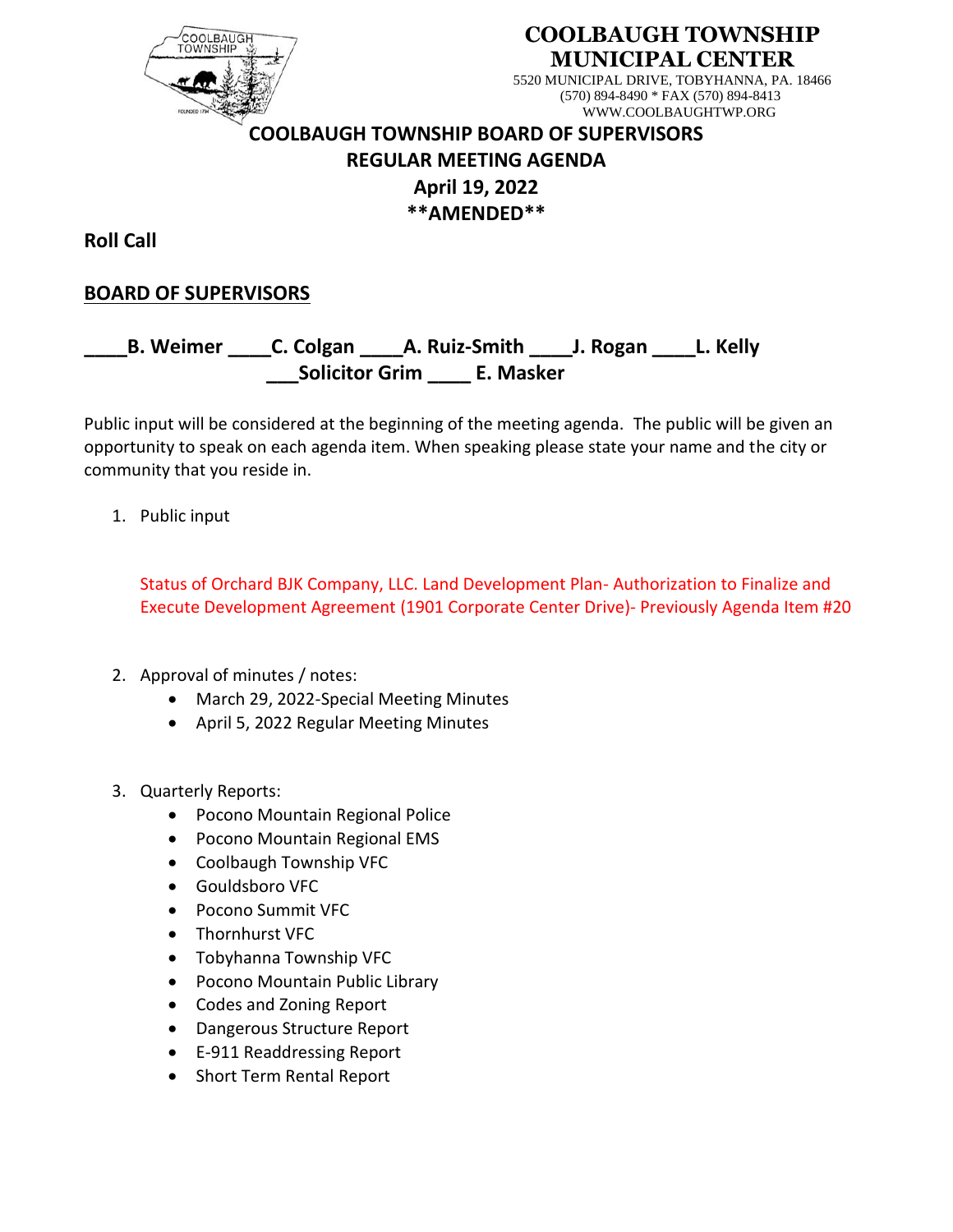

#### **COOLBAUGH TOWNSHIP MUNICIPAL CENTER**

5520 MUNICIPAL DRIVE, TOBYHANNA, PA. 18466 (570) 894-8490 \* FAX (570) 894-8413 WWW.COOLBAUGHTWP.ORG

# **COOLBAUGH TOWNSHIP BOARD OF SUPERVISORS REGULAR MEETING AGENDA April 19, 2022 \*\*AMENDED\*\***

**Roll Call**

### **BOARD OF SUPERVISORS**

## **\_\_\_\_B. Weimer \_\_\_\_C. Colgan \_\_\_\_A. Ruiz-Smith \_\_\_\_J. Rogan \_\_\_\_L. Kelly \_\_\_Solicitor Grim \_\_\_\_ E. Masker**

Public input will be considered at the beginning of the meeting agenda. The public will be given an opportunity to speak on each agenda item. When speaking please state your name and the city or community that you reside in.

1. Public input

Status of Orchard BJK Company, LLC. Land Development Plan- Authorization to Finalize and Execute Development Agreement (1901 Corporate Center Drive)- Previously Agenda Item #20

- 2. Approval of minutes / notes:
	- March 29, 2022-Special Meeting Minutes
	- April 5, 2022 Regular Meeting Minutes
- 3. Quarterly Reports:
	- Pocono Mountain Regional Police
	- Pocono Mountain Regional EMS
	- Coolbaugh Township VFC
	- Gouldsboro VFC
	- Pocono Summit VFC
	- Thornhurst VFC
	- Tobyhanna Township VFC
	- Pocono Mountain Public Library
	- Codes and Zoning Report
	- Dangerous Structure Report
	- E-911 Readdressing Report
	- Short Term Rental Report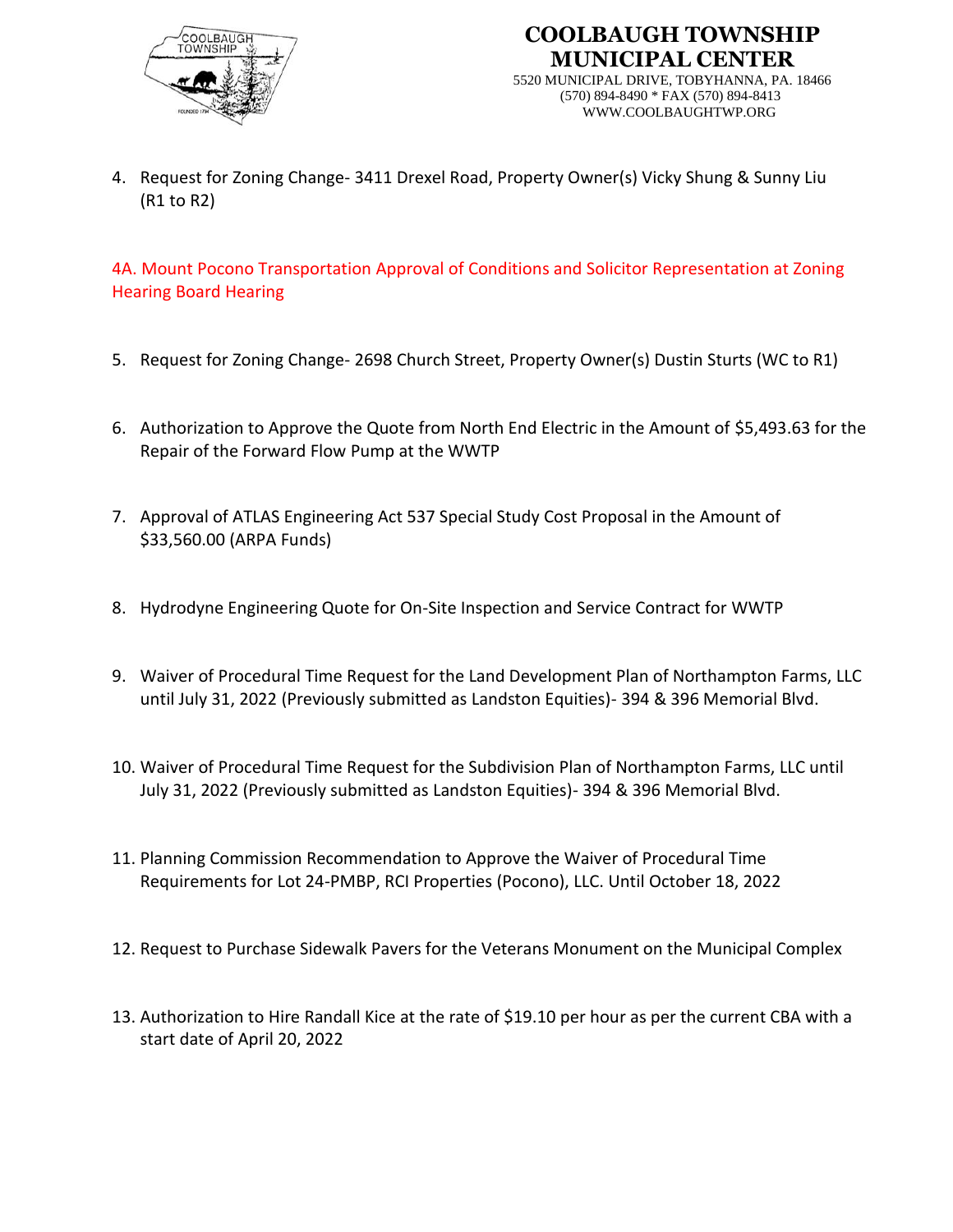



5520 MUNICIPAL DRIVE, TOBYHANNA, PA. 18466 (570) 894-8490 \* FAX (570) 894-8413 WWW.COOLBAUGHTWP.ORG

4. Request for Zoning Change- 3411 Drexel Road, Property Owner(s) Vicky Shung & Sunny Liu (R1 to R2)

4A. Mount Pocono Transportation Approval of Conditions and Solicitor Representation at Zoning Hearing Board Hearing

- 5. Request for Zoning Change- 2698 Church Street, Property Owner(s) Dustin Sturts (WC to R1)
- 6. Authorization to Approve the Quote from North End Electric in the Amount of \$5,493.63 for the Repair of the Forward Flow Pump at the WWTP
- 7. Approval of ATLAS Engineering Act 537 Special Study Cost Proposal in the Amount of \$33,560.00 (ARPA Funds)
- 8. Hydrodyne Engineering Quote for On-Site Inspection and Service Contract for WWTP
- 9. Waiver of Procedural Time Request for the Land Development Plan of Northampton Farms, LLC until July 31, 2022 (Previously submitted as Landston Equities)- 394 & 396 Memorial Blvd.
- 10. Waiver of Procedural Time Request for the Subdivision Plan of Northampton Farms, LLC until July 31, 2022 (Previously submitted as Landston Equities)- 394 & 396 Memorial Blvd.
- 11. Planning Commission Recommendation to Approve the Waiver of Procedural Time Requirements for Lot 24-PMBP, RCI Properties (Pocono), LLC. Until October 18, 2022
- 12. Request to Purchase Sidewalk Pavers for the Veterans Monument on the Municipal Complex
- 13. Authorization to Hire Randall Kice at the rate of \$19.10 per hour as per the current CBA with a start date of April 20, 2022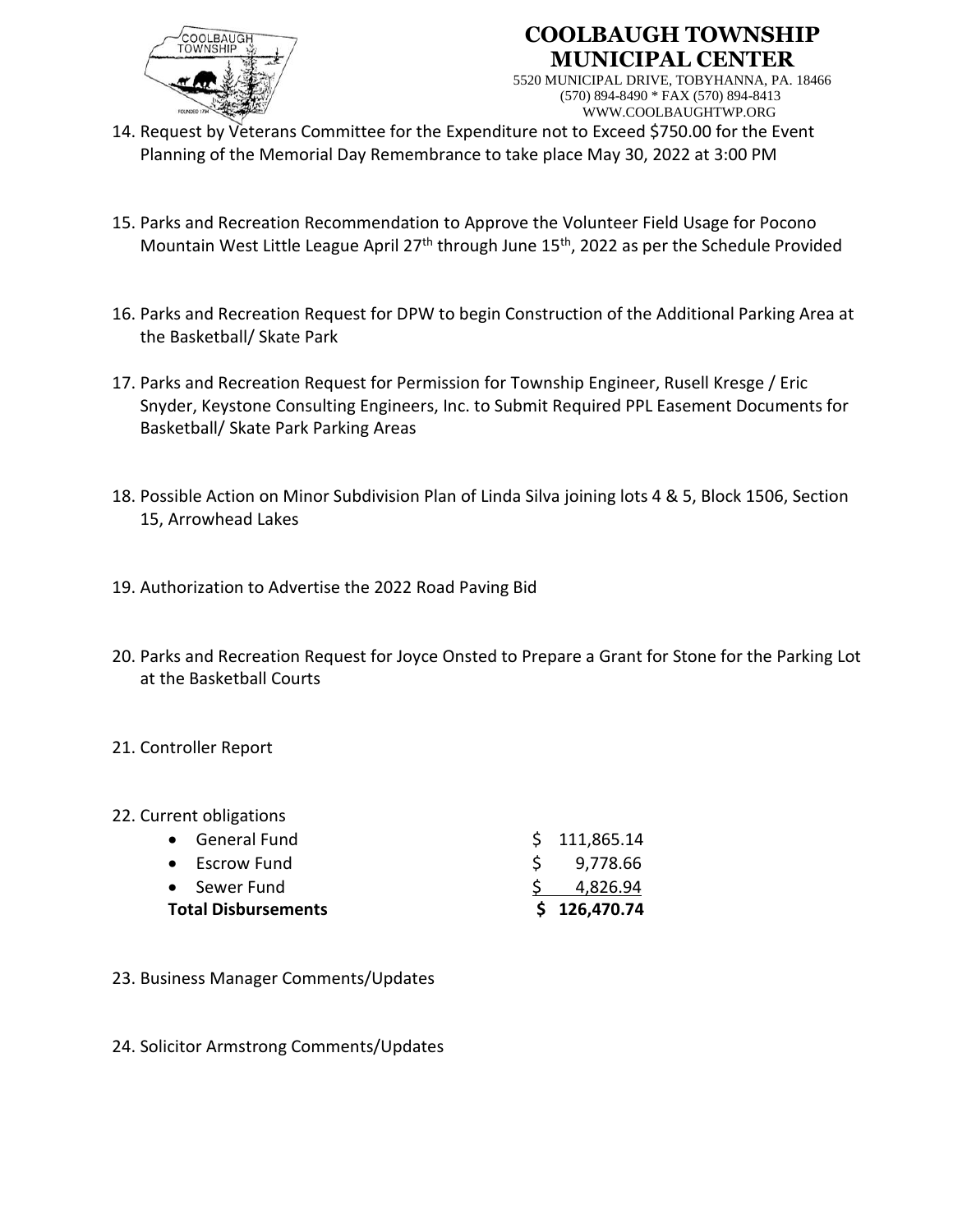

#### **COOLBAUGH TOWNSHIP MUNICIPAL CENTER**

5520 MUNICIPAL DRIVE, TOBYHANNA, PA. 18466 (570) 894-8490 \* FAX (570) 894-8413 WWW.COOLBAUGHTWP.ORG

- 14. Request by Veterans Committee for the Expenditure not to Exceed \$750.00 for the Event Planning of the Memorial Day Remembrance to take place May 30, 2022 at 3:00 PM
- 15. Parks and Recreation Recommendation to Approve the Volunteer Field Usage for Pocono Mountain West Little League April 27<sup>th</sup> through June 15<sup>th</sup>, 2022 as per the Schedule Provided
- 16. Parks and Recreation Request for DPW to begin Construction of the Additional Parking Area at the Basketball/ Skate Park
- 17. Parks and Recreation Request for Permission for Township Engineer, Rusell Kresge / Eric Snyder, Keystone Consulting Engineers, Inc. to Submit Required PPL Easement Documents for Basketball/ Skate Park Parking Areas
- 18. Possible Action on Minor Subdivision Plan of Linda Silva joining lots 4 & 5, Block 1506, Section 15, Arrowhead Lakes
- 19. Authorization to Advertise the 2022 Road Paving Bid
- 20. Parks and Recreation Request for Joyce Onsted to Prepare a Grant for Stone for the Parking Lot at the Basketball Courts

#### 21. Controller Report

#### 22. Current obligations

| <b>Total Disbursements</b> |                       | \$126,470.74 |
|----------------------------|-----------------------|--------------|
|                            | • Sewer Fund          | 4,826.94     |
|                            | $\bullet$ Escrow Fund | \$9,778.66   |
|                            | • General Fund        | \$111,865.14 |

- 23. Business Manager Comments/Updates
- 24. Solicitor Armstrong Comments/Updates